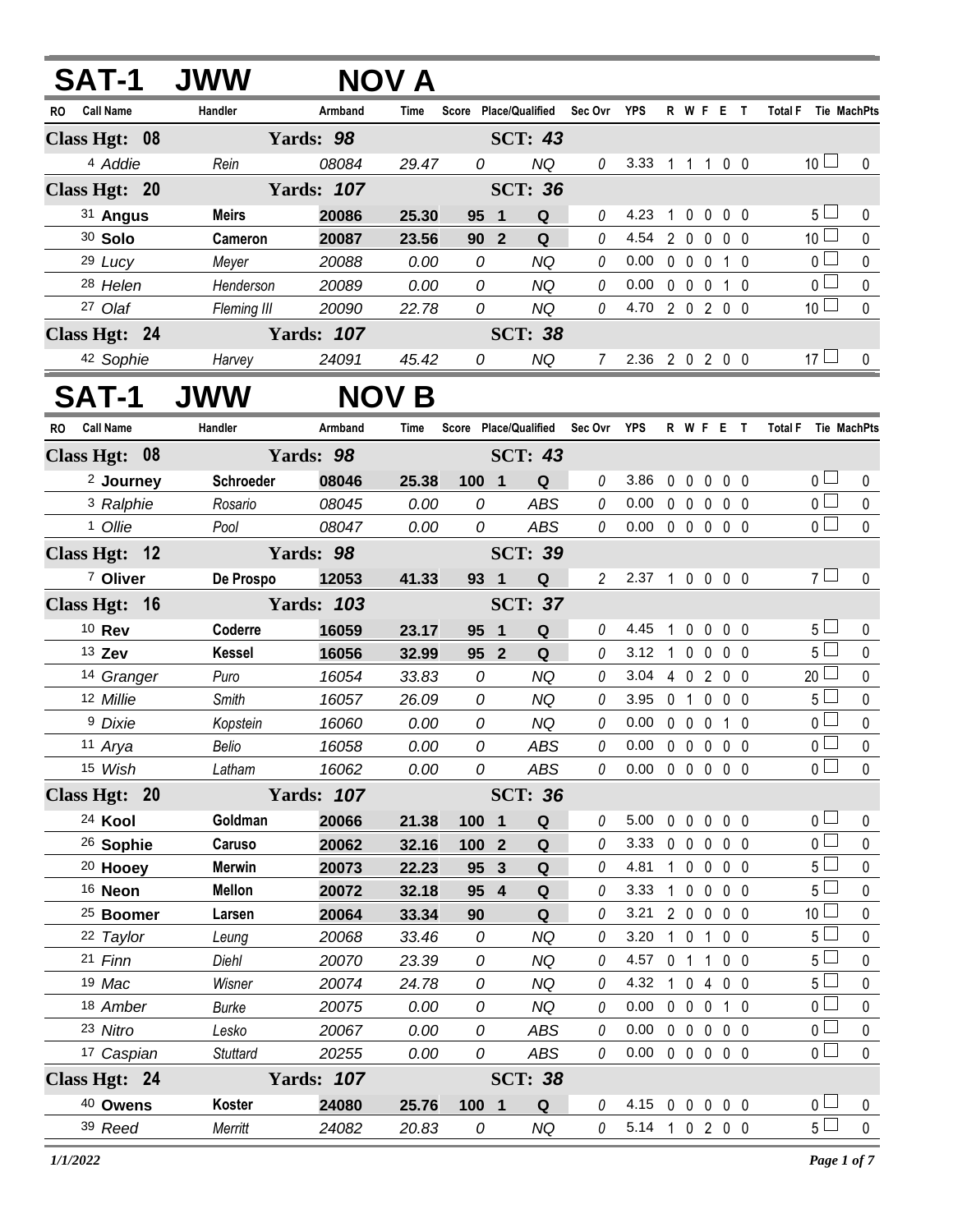| <b>SAT-1</b>                  | <b>JWW</b>      |                   | NOV A        |                       |                       |                |                            |              |                   |                    |                |                                  |                          |
|-------------------------------|-----------------|-------------------|--------------|-----------------------|-----------------------|----------------|----------------------------|--------------|-------------------|--------------------|----------------|----------------------------------|--------------------------|
| <b>Call Name</b><br><b>RO</b> | Handler         | Armband           | <b>Time</b>  |                       | Score Place/Qualified | Sec Ovr YPS    |                            |              |                   | R W F E T          |                | Total F Tie MachPts              |                          |
| Class Hgt: 08                 |                 | Yards: 98         |              |                       | <b>SCT: 43</b>        |                |                            |              |                   |                    |                |                                  |                          |
| <sup>4</sup> Addie            | Rein            | 08084             | 29.47        | 0                     | <b>NQ</b>             | 0              | 3.33                       |              |                   | 1 1 1 0 0          |                | 10 <sup>1</sup>                  | 0                        |
| Class Hgt: 20                 |                 | <b>Yards: 107</b> |              |                       | <b>SCT: 36</b>        |                |                            |              |                   |                    |                |                                  |                          |
| 31 Angus                      | <b>Meirs</b>    | 20086             | 25.30        | 95<br>$\blacksquare$  | Q                     | 0              | 4.23                       | 1            | $\mathbf 0$       | $\mathbf 0$        | $0\quad 0$     | 5 <sub>1</sub>                   | $\mathbf{0}$             |
| 30 Solo                       | Cameron         | 20087             | 23.56        | 90 2                  | ${\bf Q}$             | 0              | 4.54                       |              | $2\quad0$         | $\mathbf 0$        | 0 <sub>0</sub> | 10 <sup>1</sup>                  | $\pmb{0}$                |
| 29 Lucy                       | Meyer           | 20088             | 0.00         | 0                     | <b>NQ</b>             | 0              | 0.00                       |              | $0\quad 0$        | $\mathbf 0$        | 1 0            | $\overline{0}$                   | $\mathbf 0$              |
| 28 Helen                      | Henderson       | 20089             | 0.00         | 0                     | <b>NQ</b>             | 0              | 0.00                       |              | $0\quad 0\quad 0$ |                    | $1\quad0$      | $\overline{0}$                   | $\mathbf 0$              |
| 27 Olaf                       | Fleming III     | 20090             | 22.78        | 0                     | <b>NQ</b>             | 0              | 4.70 2 0 2 0 0             |              |                   |                    |                | 10 <sup>1</sup>                  | $\mathbf 0$              |
| Class Hgt: 24                 |                 | <b>Yards: 107</b> |              |                       | <b>SCT: 38</b>        |                |                            |              |                   |                    |                |                                  |                          |
| 42 Sophie                     | Harvey          | 24091             | 45.42        | 0                     | <b>NQ</b>             | $7^{\circ}$    | 2.36 2 0 2 0 0             |              |                   |                    |                | $17 \Box$                        | 0                        |
| <b>SAT-1</b>                  | <b>JWW</b>      |                   | <b>NOV B</b> |                       |                       |                |                            |              |                   |                    |                |                                  |                          |
| <b>Call Name</b><br><b>RO</b> | Handler         | Armband           | Time         | Score Place/Qualified |                       | Sec Ovr YPS    |                            |              |                   | R W F E T          |                | Total F Tie MachPts              |                          |
| Class Hgt: 08                 |                 | Yards: 98         |              |                       | <b>SCT: 43</b>        |                |                            |              |                   |                    |                |                                  |                          |
| <sup>2</sup> Journey          | Schroeder       | 08046             | 25.38        | 100 1                 | Q                     | 0              | 3.86                       | 0            | $\overline{0}$    | $\mathbf 0$        | $0\quad 0$     | 0 <sub>1</sub>                   | 0                        |
| <sup>3</sup> Ralphie          | Rosario         | 08045             | 0.00         | 0                     | ABS                   | 0              | 0.00                       |              | $0\quad 0$        | $\mathbf 0$        | 0 <sub>0</sub> | 0 <sup>1</sup>                   | $\mathbf 0$              |
| 1 Ollie                       | Pool            | 08047             | 0.00         | 0                     | ABS                   | 0              | 0.00                       |              |                   | 00000              |                | $\overline{0}$                   | $\mathbf{0}$             |
| Class Hgt: 12                 |                 | Yards: 98         |              |                       | <b>SCT: 39</b>        |                |                            |              |                   |                    |                |                                  |                          |
| 7 Oliver                      | De Prospo       | 12053             | 41.33        | 93 1                  | ${\bf Q}$             | $\overline{2}$ | 2.37 1 0 0 0 0             |              |                   |                    |                | $7\perp$                         | $\Omega$                 |
| Class Hgt: 16                 |                 | <b>Yards: 103</b> |              |                       | <b>SCT: 37</b>        |                |                            |              |                   |                    |                |                                  |                          |
| 10 Rev                        | Coderre         | 16059             | 23.17        | 95<br>$\blacksquare$  | Q                     | 0              | 4.45                       | $\mathbf{1}$ | $\mathbf 0$       | $\mathbf 0$        | $0\quad 0$     | 5 <sup>1</sup>                   | 0                        |
| 13 Zev                        | <b>Kessel</b>   | 16056             | 32.99        | 95 <sup>2</sup>       | Q                     | 0              | 3.12                       |              | $1\quad0$         | $\mathbf 0$        | 0 <sub>0</sub> | $5\perp$                         | $\mathbf 0$              |
| 14 Granger                    | Puro            | 16054             | 33.83        | 0                     | <b>NQ</b>             | 0              | 3.04                       |              | 4 0               | 200                |                | $20$ $\Box$                      | $\pmb{0}$                |
| 12 Millie                     | Smith           | 16057             | 26.09        | 0                     | <b>NQ</b>             | 0              | 3.95                       |              | 0 <sub>1</sub>    | $\mathbf 0$        | $0\quad 0$     | $5\Box$                          | $\pmb{0}$                |
| <sup>9</sup> Dixie            | Kopstein        | 16060             | 0.00         | 0                     | <b>NQ</b>             | $\theta$       | 0.00                       |              | $0\quad 0\quad 0$ |                    | $1\quad0$      | $\overline{0}$                   | $\pmb{0}$                |
| 11 Arya                       | Belio           | 16058             | 0.00         | 0                     | ABS                   | 0              | $0.00 \t0 \t0 \t0 \t0 \t0$ |              |                   |                    |                | $\overline{0}$                   | $\mathbf{0}$             |
| 15 Wish                       | Latham          | 16062             | 0.00         | 0                     | ABS                   | 0              | $0.00 \t0 \t0 \t0 \t0 \t0$ |              |                   |                    |                | $\overline{0}$                   | $\mathbf 0$              |
| Class Hgt: 20                 |                 | <b>Yards: 107</b> |              |                       | <b>SCT: 36</b>        |                |                            |              |                   |                    |                |                                  |                          |
| 24 Kool                       | Goldman         | 20066             | 21.38        | 100 1                 | Q                     | 0              | 5.00                       |              | $0\quad 0$        | $0\quad 0\quad 0$  |                | 0 <sub>0</sub>                   | 0                        |
| <sup>26</sup> Sophie          | Caruso          | 20062             | 32.16        | 100 2                 | Q                     | 0              | 3.33                       |              |                   | 00000              |                | $\overline{0}$                   | $\pmb{0}$                |
| <sup>20</sup> Hooey           | <b>Merwin</b>   | 20073             | 22.23        | 95 3                  | Q                     | 0              | 4.81                       |              |                   | 1 0 0 0 0          |                | 5 <sub>1</sub>                   | $\mathbf 0$              |
| 16 Neon                       | <b>Mellon</b>   | 20072             | 32.18        | 95 4                  | Q                     | 0              | 3.33                       |              |                   | 1 0 0 0 0          |                | 5 <sub>1</sub>                   | $\mathbf 0$              |
| <sup>25</sup> Boomer          | Larsen          | 20064             | 33.34        | 90                    | Q                     | 0              | 3.21                       |              |                   | 2 0 0 0 0          |                | 10 <sup>1</sup>                  | $\mathbf 0$              |
| 22 Taylor                     | Leung           | 20068             | 33.46        | 0                     | <b>NQ</b>             | 0              | 3.20                       |              |                   | 1 0 1 0 0          |                | $5 \Box$                         | $\pmb{0}$                |
| 21 Finn                       | Diehl           | 20070             | 23.39        | 0                     | <b>NQ</b>             | 0              | 4.57                       |              | $0$ 1 1           |                    | 0 <sub>0</sub> | 5 <sup>1</sup>                   | 0                        |
| 19 Mac                        | Wisner          | 20074             | 24.78        | 0                     | <b>NQ</b>             | 0              | 4.32 1 0 4 0 0             |              |                   |                    |                | 5 <sub>1</sub><br>0 <sub>0</sub> | $\pmb{0}$                |
| 18 Amber                      | <b>Burke</b>    | 20075             | 0.00         | 0                     | <b>NQ</b>             | 0              | 0.00                       |              |                   | 0 0 0 1 0          |                | 0 <sub>l</sub>                   | $\mathbf 0$              |
| 23 Nitro                      | Lesko           | 20067             | 0.00         | 0<br>0                | ABS                   | 0<br>0         | 0.00<br>0.00               |              |                   | 0 0 0 0 0<br>00000 |                | $\overline{0}$                   | $\pmb{0}$<br>$\mathbf 0$ |
| 17 Caspian                    | <b>Stuttard</b> | 20255             | 0.00         |                       | ABS                   |                |                            |              |                   |                    |                |                                  |                          |
| Class Hgt: 24                 |                 | <b>Yards: 107</b> |              |                       | <b>SCT: 38</b>        |                |                            |              |                   |                    |                |                                  |                          |
| <sup>40</sup> Owens           | Koster          | 24080             | 25.76        | 100 1                 | Q                     | 0              | 4.15 0 0 0 0 0             |              |                   |                    |                | 0 <sub>0</sub>                   | 0                        |
| 39 Reed                       | Merritt         | 24082             | 20.83        | 0                     | <b>NQ</b>             | $\theta$       | 5.14 1 0 2 0 0             |              |                   |                    |                | 5 <sub>1</sub>                   | $\mathbf 0$              |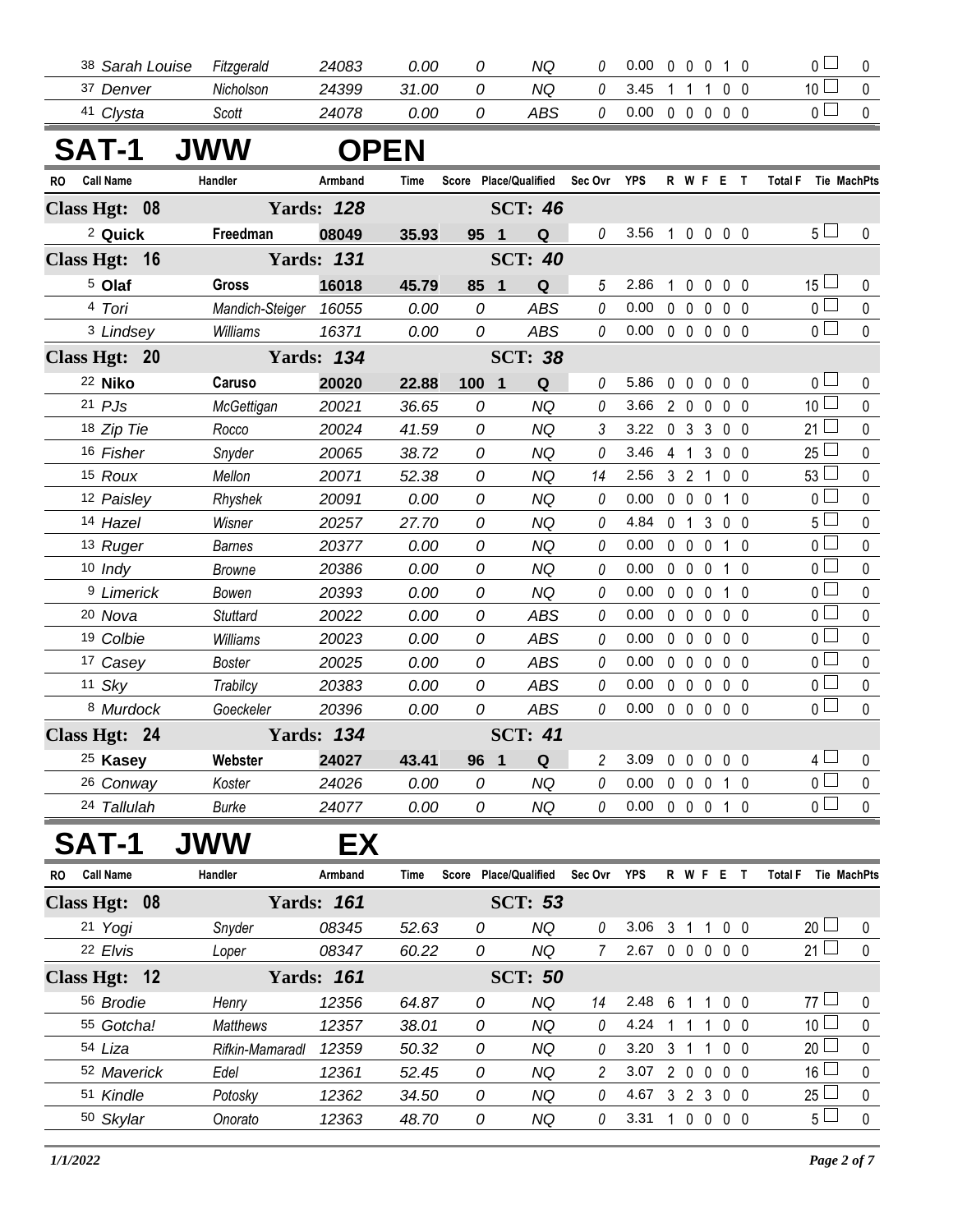|     | 38 Sarah Louise       | Fitzgerald               | 24083             | 0.00         | 0      | NQ                           | 0              | 0.00                  | 0                          | $\overline{0}$             | $\mathbf 0$                |                              | $1\quad0$         | $\overline{0}$                   | 0           |
|-----|-----------------------|--------------------------|-------------------|--------------|--------|------------------------------|----------------|-----------------------|----------------------------|----------------------------|----------------------------|------------------------------|-------------------|----------------------------------|-------------|
|     | 37 Denver             | Nicholson                | 24399             | 31.00        | 0      | <b>NQ</b>                    | 0              | 3.45                  |                            | $\mathbf 1$                | $\mathbf{1}$               | $0\quad 0$                   |                   | 10 $\Box$                        | 0           |
|     | 41 Clysta             | Scott                    | 24078             | 0.00         | 0      | <b>ABS</b>                   | $\it{0}$       | 0.00                  |                            | $0\quad 0$                 | $\mathbf 0$                |                              | $0\quad 0$        | $\overline{0}$                   | $\mathbf 0$ |
|     | <b>SAT-1</b>          | <b>JWW</b>               |                   | <b>OPEN</b>  |        |                              |                |                       |                            |                            |                            |                              |                   |                                  |             |
| RO. | Call Name             | Handler                  | Armband           | Time         |        | Score Place/Qualified        | Sec Ovr        | YPS                   |                            |                            | R W F E T                  |                              |                   | Total F Tie MachPts              |             |
|     | Class Hgt: 08         |                          | <b>Yards: 128</b> |              |        | <b>SCT: 46</b>               |                |                       |                            |                            |                            |                              |                   |                                  |             |
|     | <sup>2</sup> Quick    | Freedman                 | 08049             | 35.93        | 95 1   | Q                            | 0              | 3.56                  | $\mathbf{1}$               |                            | 0 0 0 0                    |                              |                   | 5 <sub>1</sub>                   | 0           |
|     | Class Hgt: 16         |                          | <b>Yards: 131</b> |              |        | <b>SCT: 40</b>               |                |                       |                            |                            |                            |                              |                   |                                  |             |
|     | <sup>5</sup> Olaf     | Gross                    | 16018             | 45.79        | 85 1   | Q                            | 5              | 2.86                  |                            | $\mathbf{0}$               | 0                          |                              | $0\quad 0$        | $15 \Box$                        | 0           |
|     | 4 Tori                | Mandich-Steiger 16055    |                   | 0.00         | 0      | <b>ABS</b>                   | 0              | 0.00                  | $\mathbf 0$                | $\mathbf 0$                | $\mathbf 0$                |                              | $0\quad 0$        | $_0$ $\Box$                      | 0           |
|     | 3 Lindsey             | Williams                 | 16371             | 0.00         | 0      | <b>ABS</b>                   | 0              | 0.00                  |                            | $0\quad 0$                 | $\mathbf 0$                | $0\quad 0$                   |                   | $\overline{0}$                   | $\mathbf 0$ |
|     | Class Hgt: 20         |                          | <b>Yards: 134</b> |              |        | <b>SCT: 38</b>               |                |                       |                            |                            |                            |                              |                   |                                  |             |
|     | 22 Niko               | Caruso                   | 20020             | 22.88        | 100    | $\overline{\mathbf{1}}$<br>Q | $\theta$       | 5.86                  | $\mathbf 0$                | $\mathbf 0$                | $\mathbf 0$                | $0\quad 0$                   |                   | 0 <sub>0</sub>                   | 0           |
|     | $21$ $PJS$            | McGettigan               | 20021             | 36.65        | 0      | <b>NQ</b>                    | 0              | 3.66                  |                            | $2\quad0$                  | $\mathbf 0$                | $0\quad 0$                   |                   | 10 <sup>1</sup>                  | 0           |
|     | 18 Zip Tie            | Rocco                    | 20024             | 41.59        | 0      | <b>NQ</b>                    | 3              | 3.22                  |                            | 0 <sub>3</sub>             | 3                          |                              | $0\quad 0$        | $21 \square$                     | 0           |
|     | 16 Fisher             | Snyder                   | 20065             | 38.72        | 0      | <b>NQ</b>                    | 0              | 3.46                  |                            | $4 \quad 1$                | $\mathfrak{Z}$             | $0\quad 0$                   |                   | $25\Box$                         | 0           |
|     | 15 Roux               | Mellon                   | 20071             | 52.38        | 0      | <b>NQ</b>                    | 14             | 2.56                  |                            | 3 <sub>2</sub>             | $\overline{1}$             |                              | $0\quad 0$        | 53 <sup>1</sup>                  | 0           |
|     | 12 Paisley            | Rhyshek                  | 20091             | 0.00         | 0      | <b>NQ</b>                    | 0              | 0.00                  |                            | $0\quad 0$                 | $\mathbf 0$                |                              | $1\quad0$         | $\overline{0}$                   | $\pmb{0}$   |
|     | 14 Hazel              | Wisner                   | 20257             | 27.70        | 0      | <b>NQ</b>                    | 0              | 4.84                  | $\mathbf 0$                | $\overline{1}$             | 3                          |                              | $0\quad 0$        | $5\Box$                          | 0           |
|     | 13 Ruger              | <b>Barnes</b>            | 20377             | 0.00         | 0      | <b>NQ</b>                    | 0              | 0.00                  |                            | $0\quad 0$                 | $\mathbf 0$                |                              | $1\quad$ $\Omega$ | $\overline{0}$<br>$\overline{0}$ | 0           |
|     | $10$ Indy             | <b>Browne</b>            | 20386             | 0.00         | 0<br>0 | <b>NQ</b>                    | 0              | 0.00<br>0.00          | $\mathbf 0$<br>$\mathbf 0$ | $\mathbf 0$<br>$\mathbf 0$ | $\mathbf 0$<br>$\mathbf 0$ |                              | $1\quad0$<br>- 0  | $\overline{0}$                   | 0<br>0      |
|     | 9 Limerick<br>20 Nova | Bowen<br><b>Stuttard</b> | 20393<br>20022    | 0.00<br>0.00 | 0      | <b>NQ</b><br><b>ABS</b>      | 0<br>0         | 0.00                  | $\mathbf 0$                | $\mathbf 0$                | $\mathbf 0$                | $\mathbf{1}$<br>$\mathbf{0}$ | $\overline{0}$    | $\overline{0}$                   | 0           |
|     | 19 Colbie             | Williams                 | 20023             | 0.00         | 0      | <b>ABS</b>                   | 0              | 0.00                  |                            | $0\quad 0$                 | $\mathbf 0$                | $0\quad 0$                   |                   | 0 <sub>0</sub>                   | 0           |
|     | 17 Casey              | Boster                   | 20025             | 0.00         | 0      | ABS                          | 0              | 0.00                  |                            | $0\quad 0$                 | $\mathbf 0$                |                              | 0 <sub>0</sub>    | $\overline{0}$                   | 0           |
|     | $11$ Sky              | Trabilcy                 | 20383             | 0.00         | 0      | <b>ABS</b>                   | 0              | 0.00                  |                            | $0\quad 0$                 | $\mathbf 0$                | $0\quad 0$                   |                   | $\overline{0}$                   | $\pmb{0}$   |
|     | 8 Murdock             | Goeckeler                | 20396             | 0.00         | 0      | <b>ABS</b>                   | $\it{0}$       | 0.00                  |                            | $0\quad 0$                 | $\mathbf 0$                |                              | 0 <sub>0</sub>    | $\overline{0}$                   | $\mathbf 0$ |
|     | Class Hgt: 24         |                          | <b>Yards: 134</b> |              |        | <b>SCT: 41</b>               |                |                       |                            |                            |                            |                              |                   |                                  |             |
|     | 25 Kasey              | Webster                  | 24027             | 43.41        | 96     | $\mathbf 1$<br>Q             | 2              | 3.09                  | $\mathbf 0$                | $\mathbf 0$                | $\mathbf 0$                | $0\quad 0$                   |                   | $4+$                             | 0           |
|     | 26 Conway             | Koster                   | 24026             | 0.00         | 0      | <b>NQ</b>                    | 0              | 0.00                  |                            | $0\quad 0$                 | $\mathbf 0$                |                              | $1\quad0$         | 0 <sup>2</sup>                   | $\mathbf 0$ |
|     | 24 Tallulah           | <b>Burke</b>             | 24077             | 0.00         | 0      | NQ                           | 0              | $0.00 \t 0 \t 0 \t 0$ |                            |                            |                            |                              | $1\quad0$         | $\overline{0}$                   | $\pmb{0}$   |
|     | SAT-1                 | <b>JWW</b>               | EХ                |              |        |                              |                |                       |                            |                            |                            |                              |                   |                                  |             |
| RO  | <b>Call Name</b>      | Handler                  | Armband           | Time         |        | Score Place/Qualified        | Sec Ovr YPS    |                       |                            |                            | R W F E T                  |                              |                   | Total F Tie MachPts              |             |
|     | Class Hgt: 08         |                          | <b>Yards: 161</b> |              |        | <b>SCT: 53</b>               |                |                       |                            |                            |                            |                              |                   |                                  |             |
|     | 21 Yogi               | Snyder                   | 08345             | 52.63        | 0      | <b>NQ</b>                    | 0              | 3.06                  |                            | 3 <sub>1</sub>             | $\mathbf 1$                |                              | $0\quad 0$        | $_{20}$ $\Box$                   | 0           |
|     | 22 Elvis              | Loper                    | 08347             | 60.22        | 0      | NQ                           | $\overline{7}$ | 2.67                  |                            |                            | 0 0 0 0 0                  |                              |                   | 21 $\Box$                        | $\mathbf 0$ |
|     | Class Hgt: 12         |                          | <b>Yards: 161</b> |              |        | <b>SCT: 50</b>               |                |                       |                            |                            |                            |                              |                   |                                  |             |
|     | 56 Brodie             | Henry                    | 12356             | 64.87        | 0      | <b>NQ</b>                    | 14             | 2.48                  |                            | 6 1                        | $\mathbf{1}$               | 0 <sub>0</sub>               |                   | $77 \Box$                        | 0           |
|     | 55 Gotcha!            | <b>Matthews</b>          | 12357             | 38.01        | 0      | <b>NQ</b>                    | 0              | 4.24                  | 1                          | $\overline{1}$             | -1                         |                              | $0\quad 0$        | 10 <sup>L</sup>                  | 0           |
|     | 54 Liza               | Rifkin-Mamaradl          | 12359             | 50.32        | 0      | NQ                           | 0              | 3.20                  |                            | 3 <sub>1</sub>             | $\overline{1}$             |                              | $0\quad 0$        | 20 <sup>1</sup>                  | 0           |
|     | 52 Maverick           | Edel                     | 12361             | 52.45        | 0      | <b>NQ</b>                    | 2              | 3.07                  |                            | $2\quad0$                  | $\mathbf 0$                |                              | $0\quad 0$        | 16 <sup>L</sup>                  | 0           |
|     | 51 Kindle             | Potosky                  | 12362             | 34.50        | 0      | NQ                           | 0              | 4.67                  |                            |                            | 3 2 3 0 0                  |                              |                   | $25\,\Box$                       | $\pmb{0}$   |
|     | 50 Skylar             | Onorato                  | 12363             | 48.70        | 0      | NQ                           | 0              | 3.31                  |                            |                            | 10000                      |                              |                   | 5 <sub>1</sub>                   | $\pmb{0}$   |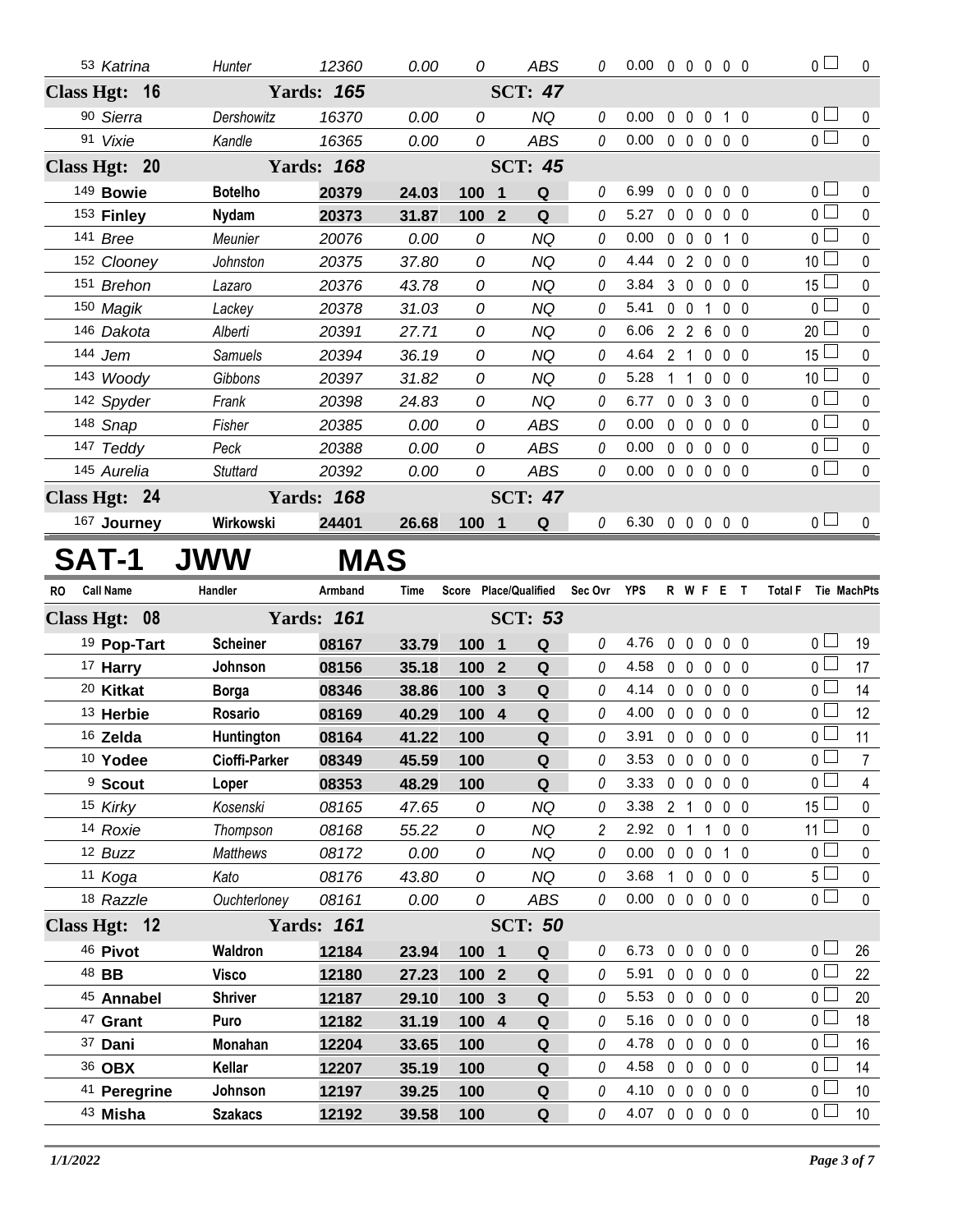| 53 Katrina                    | Hunter                    | 12360             | 0.00           | 0          | ABS                           | 0       | $0.00 \t0 \t0 \t0 \t0 \t0$ |                |                   |                   |                | $\overline{0}$                       | $\mathbf 0$                        |
|-------------------------------|---------------------------|-------------------|----------------|------------|-------------------------------|---------|----------------------------|----------------|-------------------|-------------------|----------------|--------------------------------------|------------------------------------|
| Class Hgt: 16                 |                           | <b>Yards: 165</b> |                |            | <b>SCT: 47</b>                |         |                            |                |                   |                   |                |                                      |                                    |
| 90 Sierra                     | Dershowitz                | 16370             | 0.00           | 0          | <b>NQ</b>                     | 0       | 0.00                       | $\mathbf 0$    | $\mathbf 0$       | $\pmb{0}$         | $1\quad0$      | $\overline{0}$                       | 0                                  |
| 91 Vixie                      | Kandle                    | 16365             | 0.00           | 0          | <b>ABS</b>                    | 0       | 0.00                       |                | 00000             |                   |                | $\overline{0}$                       | $\mathbf 0$                        |
| Class Hgt: 20                 |                           | <b>Yards: 168</b> |                |            | <b>SCT: 45</b>                |         |                            |                |                   |                   |                |                                      |                                    |
| 149 Bowie                     | <b>Botelho</b>            | 20379             | 24.03          | 100        | $\mathbf 1$<br>Q              | 0       | 6.99                       | 0              | $\mathbf{0}$      | $\mathbf 0$       | $0\quad 0$     | $\overline{0}$                       | 0                                  |
| 153 Finley                    | <b>Nydam</b>              | 20373             | 31.87          | 100        | $\overline{2}$<br>$\mathbf Q$ | 0       | 5.27                       | $0\quad 0$     |                   | $\mathbf 0$       | 0 <sub>0</sub> | $\overline{0}$                       | 0                                  |
| 141 Bree                      | Meunier                   | 20076             | 0.00           | 0          | <b>NQ</b>                     | 0       | 0.00                       | $0\quad 0$     |                   | $\mathbf 0$       | $1\quad0$      | $\overline{0}$                       | $\mathbf 0$                        |
| 152 Clooney                   | Johnston                  | 20375             | 37.80          | 0          | <b>NQ</b>                     | 0       | 4.44                       | 0 <sub>2</sub> |                   | $\mathbf 0$       | 0 <sub>0</sub> | 10 <sup>1</sup>                      | 0                                  |
| 151 Brehon                    | Lazaro                    | 20376             | 43.78          | 0          | <b>NQ</b>                     | 0       | 3.84                       |                | $3\quad0$         | $\mathbf 0$       | 0 <sub>0</sub> | 15 <sup>1</sup>                      | 0                                  |
| 150 Magik                     | Lackey                    | 20378             | 31.03          | 0          | <b>NQ</b>                     | 0       | 5.41                       | $0\quad 0$     |                   | $\overline{1}$    | 0 <sub>0</sub> | $\overline{0}$                       | $\mathbf 0$                        |
| 146 Dakota                    | Alberti                   | 20391             | 27.71          | 0          | <b>NQ</b>                     | 0       | 6.06                       | 2 <sub>2</sub> |                   | 6                 | $0\quad 0$     | $20$ $\Box$                          | $\pmb{0}$                          |
| 144 Jem                       | Samuels                   | 20394             | 36.19          | 0          | <b>NQ</b>                     | 0       | 4.64                       | 2 <sub>1</sub> |                   | $\mathbf 0$       | 0 <sub>0</sub> | 15 <sub>1</sub>                      | $\mathbf 0$                        |
| 143 Woody                     | Gibbons                   | 20397             | 31.82          | 0          | <b>NQ</b>                     | 0       | 5.28                       | 1              | $\overline{1}$    | $\mathbf 0$       | 0 <sub>0</sub> | 10 <sup>1</sup>                      | 0                                  |
| 142 Spyder                    | Frank                     | 20398             | 24.83          | 0          | <b>NQ</b>                     | 0       | 6.77                       |                | $0\quad 0$        | 3                 | $0\quad 0$     | $\overline{0}$                       | 0                                  |
| 148 Snap                      | Fisher                    | 20385             | 0.00           | 0          | <b>ABS</b>                    | 0       | 0.00                       | $0\quad 0$     |                   | $\mathbf 0$       | $0\quad 0$     | $_0$ $\Box$                          | 0                                  |
| 147 Teddy                     | Peck                      | 20388             | 0.00           | 0          | <b>ABS</b>                    | 0       | 0.00                       |                | $0\quad 0$        | $\mathbf 0$       | 0 <sub>0</sub> | $\overline{0}$                       | 0                                  |
| 145 Aurelia                   | <b>Stuttard</b>           | 20392             | 0.00           | 0          | <b>ABS</b>                    | 0       | 0.00                       |                | 00000             |                   |                | 0 <sub>0</sub>                       | $\mathbf{0}$                       |
| Class Hgt: 24                 |                           | <b>Yards: 168</b> |                |            | <b>SCT: 47</b>                |         |                            |                |                   |                   |                |                                      |                                    |
| 167 Journey                   | Wirkowski                 | 24401             | 26.68          | 100 1      | Q                             | 0       | 6.30 0 0 0 0 0             |                |                   |                   |                | 0 <sub>0</sub>                       | $\mathbf 0$                        |
| SAT-1                         | <b>JWW</b>                | MAS               |                |            |                               |         |                            |                |                   |                   |                |                                      |                                    |
|                               |                           |                   |                |            |                               |         |                            |                |                   |                   |                |                                      |                                    |
| <b>Call Name</b><br><b>RO</b> | Handler                   | Armband           | <b>Time</b>    |            | Score Place/Qualified         | Sec Ovr | <b>YPS</b>                 |                | R W F E T         |                   |                | <b>Total F</b>                       | Tie MachPts                        |
| Class Hgt: 08                 |                           | <b>Yards: 161</b> |                |            | <b>SCT: 53</b>                |         |                            |                |                   |                   |                |                                      |                                    |
| 19 Pop-Tart                   | <b>Scheiner</b>           | 08167             | 33.79          | 100        | $\overline{\mathbf{1}}$<br>Q  | 0       | 4.76                       |                | 00000             |                   |                | $\overline{0}$                       | 19                                 |
| 17 Harry                      | Johnson                   | 08156             | 35.18          | 100        | $\mathbf Q$<br>$\overline{2}$ | 0       | 4.58                       |                | $0\quad 0$        | $\mathbf 0$       | $0\quad 0$     | $\overline{0}$                       | 17                                 |
| 20 Kitkat                     | <b>Borga</b>              | 08346             | 38.86          | 100        | Q<br>$\mathbf{3}$             | 0       | 4.14                       |                | $0\quad 0$        | $\mathbf 0$       | 0 <sub>0</sub> | $\overline{0}$ $\Box$                | 14                                 |
| 13 Herbie                     | Rosario                   | 08169             | 40.29          | 100 4      | $\mathbf Q$                   | 0       | 4.00                       |                | $0\quad 0$        | $\mathbf 0$       | 0 <sub>0</sub> | $_0\sqcup$                           | 12                                 |
| 16 Zelda                      | Huntington                | 08164             | 41.22          | 100        | $\mathbf Q$                   | 0       | 3.91                       |                | 00000             |                   |                | $\overline{0}$                       | 11                                 |
| 10 Yodee                      | Cioffi-Parker             | 08349             | 45.59          | 100        | Q                             | 0       | 3.53                       |                | $0\quad 0$        | $0\quad 0\quad 0$ |                | $\overline{0}$                       | 7                                  |
| <sup>9</sup> Scout            | Loper                     | 08353             | 48.29          | 100        | Q                             | 0       | 3.33                       |                | $0\quad 0$        | $0\quad 0\quad 0$ |                | $0-$                                 | 4                                  |
| 15 Kirky                      | Kosenski                  | 08165             | 47.65          | 0          | <b>NQ</b>                     | 0       | 3.38                       |                | 2 <sub>1</sub>    | $0\quad 0\quad 0$ |                | $15\Box$                             | $\pmb{0}$                          |
| 14 Roxie                      | Thompson                  | 08168             | 55.22          | 0          | <b>NQ</b>                     | 2       | 2.92                       |                | 0 <sub>1</sub>    | $1 0 0$           |                | 11 $\Box$                            | 0                                  |
| 12 Buzz                       | Matthews                  | 08172             | 0.00           | 0          | <b>NQ</b>                     | 0       | 0.00                       |                | $0\quad 0\quad 0$ |                   | $1\quad0$      | $\overline{0}$                       | $\pmb{0}$                          |
| 11 Koga                       | Kato                      | 08176             | 43.80          | 0          | NQ                            | 0       | 3.68                       |                | 1 0 0 0 0         |                   |                | 5 <sub>1</sub>                       | 0                                  |
| 18 Razzle                     | Ouchterloney              | 08161             | 0.00           | 0          | ABS                           | 0       | 0.00                       |                | 00000             |                   |                | $\overline{0}$                       | $\pmb{0}$                          |
| Class Hgt: 12                 |                           | <b>Yards: 161</b> |                |            | <b>SCT: 50</b>                |         |                            |                |                   |                   |                |                                      |                                    |
| 46 Pivot                      | Waldron                   | 12184             | 23.94          | 100 1      | Q                             | 0       | 6.73                       |                | 00000             |                   |                | 0 <sub>0</sub>                       | 26                                 |
| 48 BB                         | <b>Visco</b>              | 12180             | 27.23          | 100 2      | $\mathbf Q$                   | 0       | 5.91                       |                | 00000             |                   |                | $\overline{0}$                       | 22                                 |
| 45 Annabel                    | <b>Shriver</b>            | 12187             | 29.10          | 100 3      | Q                             | 0       | 5.53                       |                | $0\quad 0$        | $\mathbf 0$       | $0\quad 0$     | 0 <sub>0</sub>                       | 20                                 |
| <sup>47</sup> Grant           | Puro                      | 12182             | 31.19          | 100 4      | $\mathbf Q$                   | 0       | 5.16                       |                | 00000             |                   |                | $\overline{0}$                       | 18                                 |
| 37 Dani                       | Monahan                   | 12204             | 33.65          | 100        | Q                             | 0       | 4.78                       |                | $0\quad 0$        | $0\quad 0\quad 0$ |                | $\overline{0}$                       | 16                                 |
| 36 OBX                        | Kellar                    | 12207             | 35.19          | 100        | $\mathbf Q$                   | 0       | 4.58                       |                | 00000             |                   |                | $\overline{0}$                       | 14                                 |
| 41 Peregrine<br>43 Misha      | Johnson<br><b>Szakacs</b> | 12197<br>12192    | 39.25<br>39.58 | 100<br>100 | Q<br>Q                        | 0<br>0  | 4.10<br>4.07               | 00000          | 0 0 0 0 0         |                   |                | $_0$ $\Box$<br>$\overline{0}$ $\Box$ | 10 <sup>°</sup><br>10 <sup>°</sup> |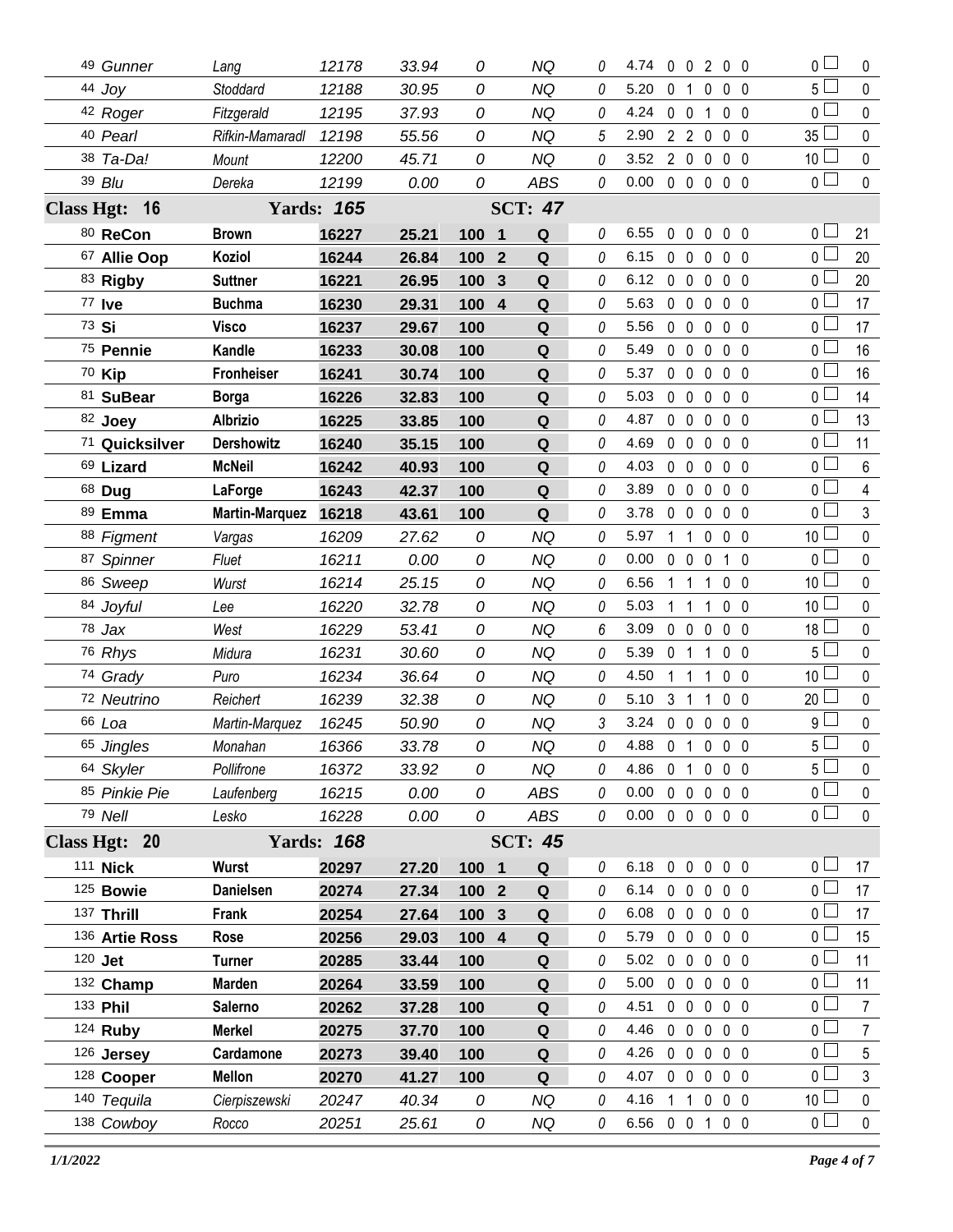| 49 Gunner      | Lang                  | 12178             | 33.94 | 0     |                | <b>NQ</b>      | 0        | 4.74                       |                |                   | 00200        |                |   | $\overline{0}$  | 0              |
|----------------|-----------------------|-------------------|-------|-------|----------------|----------------|----------|----------------------------|----------------|-------------------|--------------|----------------|---|-----------------|----------------|
| 44 Joy         | Stoddard              | 12188             | 30.95 | 0     |                | <b>NQ</b>      | 0        | 5.20                       | 0              | $\overline{1}$    | 0            | 0 <sub>0</sub> |   | $5\Box$         | $\mathbf 0$    |
| 42 Roger       | Fitzgerald            | 12195             | 37.93 | 0     |                | <b>NQ</b>      | 0        | 4.24                       |                | $0\quad 0$        | $\mathbf{1}$ | 0 <sub>0</sub> |   | 0 L             | $\mathbf 0$    |
| 40 Pearl       | Rifkin-Mamaradl       | 12198             | 55.56 | 0     |                | <b>NQ</b>      | 5        | 2.90                       |                | 220               |              | $0\quad 0$     |   | $35\perp$       | $\mathbf 0$    |
| 38 Ta-Da!      | Mount                 | 12200             | 45.71 | 0     |                | <b>NQ</b>      | 0        | 3.52                       |                | 200               |              | 0 <sub>0</sub> |   | 10 <sup>L</sup> | $\mathbf 0$    |
| 39 Blu         | Dereka                | 12199             | 0.00  | 0     |                | <b>ABS</b>     | 0        | 0.00                       |                |                   | 00000        |                |   | 0 <sup>2</sup>  | $\mathbf 0$    |
| Class Hgt: 16  |                       | <b>Yards: 165</b> |       |       |                | <b>SCT: 47</b> |          |                            |                |                   |              |                |   |                 |                |
| 80 ReCon       | <b>Brown</b>          | 16227             | 25.21 | 100 1 |                | Q              | 0        | 6.55                       |                |                   | 00000        |                |   | 0 <sup>1</sup>  | 21             |
| 67 Allie Oop   | Koziol                | 16244             | 26.84 | 100   | $\overline{2}$ | $\mathbf Q$    | 0        | 6.15                       |                | $0\quad 0$        | $\mathbf 0$  | $0\quad 0$     |   | 0 <sub>1</sub>  | 20             |
| 83 Rigby       | <b>Suttner</b>        | 16221             | 26.95 | 100   | 3              | ${\bf Q}$      | 0        | 6.12                       |                | $0\quad 0$        | $\mathbf 0$  | 0 <sub>0</sub> |   | 0 L             | 20             |
| 77 Ive         | <b>Buchma</b>         | 16230             | 29.31 | 100 4 |                | Q              | 0        | 5.63                       |                | $0\quad 0$        | $\mathbf 0$  | 0 <sub>0</sub> |   | 0 <sup>1</sup>  | 17             |
| 73 Si          | <b>Visco</b>          | 16237             | 29.67 | 100   |                | Q              | 0        | 5.56                       |                | $0\quad 0$        | $\mathbf 0$  | 0 <sub>0</sub> |   | 0 <sub>0</sub>  | 17             |
| 75 Pennie      | Kandle                | 16233             | 30.08 | 100   |                | ${\bf Q}$      | 0        | 5.49                       |                | $0\quad 0$        | $\mathbf 0$  | $0\quad 0$     |   | 0 <sub>0</sub>  | 16             |
| 70 Kip         | <b>Fronheiser</b>     | 16241             | 30.74 | 100   |                | Q              | 0        | 5.37                       |                | $0\quad 0$        | $\mathbf 0$  | $0\quad 0$     |   | 0 L             | 16             |
| 81 SuBear      | <b>Borga</b>          | 16226             | 32.83 | 100   |                | Q              | 0        | 5.03                       |                | $0\quad 0$        | $\mathbf 0$  | 0 <sub>0</sub> |   | 0 <sub>0</sub>  | 14             |
| 82 Joey        | <b>Albrizio</b>       | 16225             | 33.85 | 100   |                | Q              | 0        | 4.87                       |                | $0\quad 0$        | 0            | 0 <sub>0</sub> |   | 0 <sub>0</sub>  | 13             |
| 71 Quicksilver | <b>Dershowitz</b>     | 16240             | 35.15 | 100   |                | Q              | 0        | 4.69                       |                | $0\quad 0$        | $\mathbf 0$  | 0 <sub>0</sub> |   | 0 <sup>1</sup>  | 11             |
| 69 Lizard      | <b>McNeil</b>         | 16242             | 40.93 | 100   |                | Q              | 0        | 4.03                       |                | $0\quad 0$        | $\mathbf 0$  | 0 <sub>0</sub> |   | 0 <sup>2</sup>  | $6\phantom{.}$ |
| 68 Dug         | LaForge               | 16243             | 42.37 | 100   |                | Q              | 0        | 3.89                       |                | $0\quad 0$        | $\mathbf 0$  | 0 <sub>0</sub> |   | 0 <sup>1</sup>  | $\overline{4}$ |
| 89 Emma        | <b>Martin-Marquez</b> | 16218             | 43.61 | 100   |                | Q              | 0        | 3.78                       |                | $0\quad 0$        | $\mathbf{0}$ | 0 <sub>0</sub> |   | 0 L             | $\mathfrak{Z}$ |
| 88 Figment     | Vargas                | 16209             | 27.62 | 0     |                | <b>NQ</b>      | 0        | 5.97                       |                | $1\quad1$         | $\mathbf 0$  | 0 <sub>0</sub> |   | 10 <sup>1</sup> | $\pmb{0}$      |
| 87 Spinner     | Fluet                 | 16211             | 0.00  | 0     |                | <b>NQ</b>      | 0        | 0.00                       |                | $0\quad 0$        | $\mathbf 0$  | $\mathbf{1}$   | 0 | 0 L             | $\pmb{0}$      |
| 86 Sweep       | Wurst                 | 16214             | 25.15 | 0     |                | <b>NQ</b>      | 0        | 6.56                       | 1 1            |                   | 1            | 0 <sub>0</sub> |   | 10 <sup>1</sup> | $\pmb{0}$      |
| 84 Joyful      | Lee                   | 16220             | 32.78 | 0     |                | NQ             | 0        | 5.03                       | $1\quad1$      |                   | 1            | 0 <sub>0</sub> |   | 10 <sup>1</sup> | $\pmb{0}$      |
| $78$ Jax       | West                  | 16229             | 53.41 | 0     |                | <b>NQ</b>      | 6        | 3.09                       |                | $0\quad 0$        | $\mathbf 0$  | 0 <sub>0</sub> |   | $18\perp$       | $\pmb{0}$      |
| 76 Rhys        | Midura                | 16231             | 30.60 | 0     |                | <b>NQ</b>      | 0        | 5.39                       | 0 <sub>1</sub> |                   | 1            | 0 <sub>0</sub> |   | 5 <sup>1</sup>  | $\pmb{0}$      |
| 74 Grady       | Puro                  | 16234             | 36.64 | 0     |                | <b>NQ</b>      | 0        | 4.50                       | 1 1            |                   | 1            | 0 <sub>0</sub> |   | 10 <sup>2</sup> | $\pmb{0}$      |
| 72 Neutrino    | Reichert              | 16239             | 32.38 | 0     |                | <b>NQ</b>      | 0        | 5.10                       | 3              | -1                | 1            | 0 <sub>0</sub> |   | 20              | $\mathbf 0$    |
| 66 Loa         | Martin-Marquez        | 16245             | 50.90 | 0     |                | <b>NQ</b>      | 3        | 3.24                       |                | $0\quad 0\quad 0$ |              | $0\quad 0$     |   | g l             | $\pmb{0}$      |
| 65 Jingles     | Monahan               | 16366             | 33.78 | 0     |                | <b>NQ</b>      | 0        | 4.88 0 1 0 0 0             |                |                   |              |                |   | 5 l             | $\pmb{0}$      |
| 64 Skyler      | Pollifrone            | 16372             | 33.92 | 0     |                | NQ             | 0        | 4.86 0 1 0 0 0             |                |                   |              |                |   | $5\Box$         | $\mathbf 0$    |
| 85 Pinkie Pie  | Laufenberg            | 16215             | 0.00  | 0     |                | <b>ABS</b>     | 0        | 0.00                       |                |                   | 00000        |                |   | 0 <sub>0</sub>  | 0              |
| 79 Nell        | Lesko                 | 16228             | 0.00  | 0     |                | ABS            | 0        | $0.00 \t0 \t0 \t0 \t0 \t0$ |                |                   |              |                |   | $\overline{0}$  | $\mathbf{0}$   |
| Class Hgt: 20  |                       | <b>Yards: 168</b> |       |       |                | <b>SCT: 45</b> |          |                            |                |                   |              |                |   |                 |                |
| 111 Nick       | Wurst                 | 20297             | 27.20 | 100 1 |                | Q              | 0        | 6.18 0 0 0 0 0             |                |                   |              |                |   | 0 <sub>1</sub>  | 17             |
| 125 Bowie      | <b>Danielsen</b>      | 20274             | 27.34 | 100 2 |                | Q              | 0        | 6.14 0 0 0 0 0             |                |                   |              |                |   | 0 <sub>1</sub>  | 17             |
| 137 Thrill     | Frank                 | 20254             | 27.64 | 100 3 |                | Q              | 0        | 6.08                       |                |                   | 00000        |                |   | 0 l             | 17             |
| 136 Artie Ross | Rose                  | 20256             | 29.03 | 100 4 |                | Q              | 0        | 5.79                       |                |                   | 00000        |                |   | 0 <sub>1</sub>  | 15             |
| 120 Jet        | Turner                | 20285             | 33.44 | 100   |                | Q              | 0        | 5.02                       |                |                   | 00000        |                |   | 0 <sub>1</sub>  | 11             |
| 132 Champ      | <b>Marden</b>         | 20264             | 33.59 | 100   |                | Q              | 0        | 5.00                       |                |                   | 00000        |                |   | 0 <sub>1</sub>  | 11             |
| 133 Phil       | Salerno               | 20262             | 37.28 | 100   |                | Q              | 0        | 4.51                       |                |                   | 00000        |                |   | 0 <sub>1</sub>  | 7              |
| 124 Ruby       | <b>Merkel</b>         | 20275             | 37.70 | 100   |                | Q              | 0        | 4.46                       |                |                   | 00000        |                |   | 0 <sup>1</sup>  | $\overline{7}$ |
| 126 Jersey     | Cardamone             | 20273             | 39.40 | 100   |                | Q              | 0        | 4.26                       |                |                   | 00000        |                |   | 0 <sub>1</sub>  | 5              |
| 128 Cooper     | <b>Mellon</b>         | 20270             | 41.27 | 100   |                | Q              | 0        | 4.07                       |                |                   | 00000        |                |   | $0-$            | $\mathfrak{Z}$ |
| 140 Tequila    | Cierpiszewski         | 20247             | 40.34 | 0     |                | <b>NQ</b>      | 0        | 4.16                       |                |                   | 11000        |                |   | 10 <sup>1</sup> | 0              |
| 138 Cowboy     | Rocco                 | 20251             | 25.61 | 0     |                | NQ             | $\theta$ | 6.56 0 0 1 0 0             |                |                   |              |                |   | $\overline{0}$  | $\mathbf 0$    |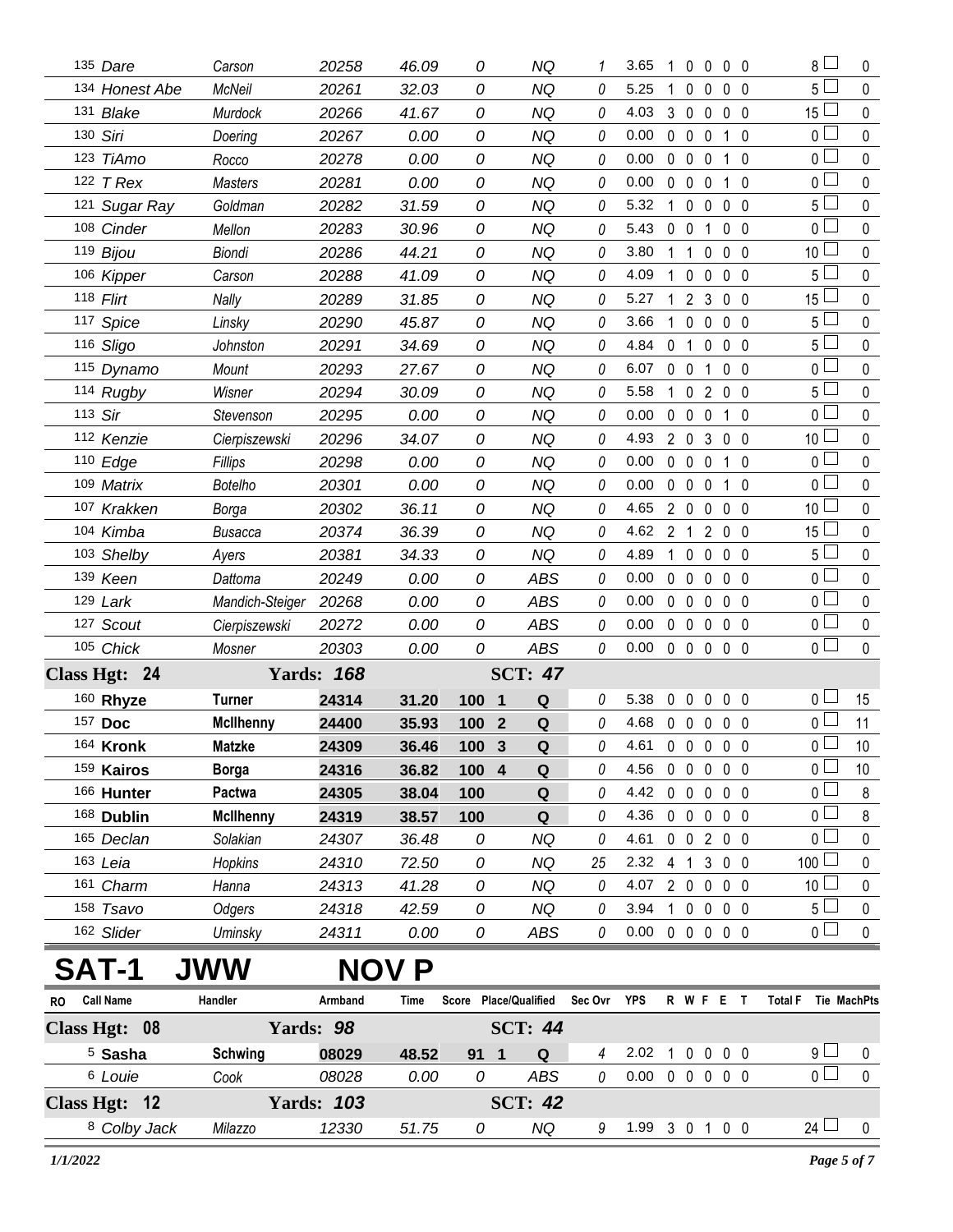| 135 Dare       | Carson           | 20258             | 46.09        | 0     | NQ                            |    | 3.65           | 1              | $\bf{0}$<br>$\theta$            | $0\quad 0$     |                | 8 L             | 0           |
|----------------|------------------|-------------------|--------------|-------|-------------------------------|----|----------------|----------------|---------------------------------|----------------|----------------|-----------------|-------------|
| 134 Honest Abe | McNeil           | 20261             | 32.03        | 0     | ΝQ                            | 0  | 5.25           | 1              | 0<br>0                          | $0\quad 0$     |                | 5 <sup>1</sup>  | $\mathbf 0$ |
| 131 Blake      | Murdock          | 20266             | 41.67        | 0     | <b>NQ</b>                     | 0  | 4.03           | 3              | $\mathbf 0$<br>$\mathbf 0$      | $\mathbf 0$    | $\overline{0}$ | 15 <sup>1</sup> | 0           |
| 130 Siri       | Doering          | 20267             | 0.00         | 0     | ΝQ                            | 0  | 0.00           | 0              | $\mathbf 0$<br>$\mathbf 0$      | $\mathbf{1}$   | -0             | $\overline{0}$  | $\mathbf 0$ |
| 123 TiAmo      | Rocco            | 20278             | 0.00         | 0     | <b>NQ</b>                     | 0  | 0.00           | $\mathbf 0$    | $\overline{0}$<br>$\mathbf{0}$  | $1\quad0$      |                | 0 <sub>1</sub>  | 0           |
| 122 $T$ Rex    | <b>Masters</b>   | 20281             | 0.00         | 0     | <b>NQ</b>                     | 0  | 0.00           | 0              | $\mathbf 0$<br>$\mathbf 0$      | $\mathbf{1}$   | -0             | $\overline{0}$  | $\pmb{0}$   |
| 121 Sugar Ray  | Goldman          | 20282             | 31.59        | 0     | <b>NQ</b>                     | 0  | 5.32           | $\mathbf{1}$   | $\mathbf 0$<br>0                | $\mathbf 0$    | $\overline{0}$ | 5 l             | $\mathbf 0$ |
| 108 Cinder     | Mellon           | 20283             | 30.96        | 0     | <b>NQ</b>                     | 0  | 5.43           | 0              | $\mathbf 0$<br>1                | $\mathbf 0$    | - 0            | $\overline{0}$  | $\mathbf 0$ |
| 119 Bijou      | Biondi           | 20286             | 44.21        | 0     | <b>NQ</b>                     | 0  | 3.80           | 1              | 1<br>0                          | 0 <sub>0</sub> |                | 10              | 0           |
| 106 Kipper     | Carson           | 20288             | 41.09        | 0     | <b>NQ</b>                     | 0  | 4.09           | 1              | $\pmb{0}$<br>0                  | 0 <sub>0</sub> |                | 5               | $\pmb{0}$   |
| 118 Flirt      | Nally            | 20289             | 31.85        | 0     | <b>NQ</b>                     | 0  | 5.27           | 1              | $\overline{2}$<br>3             | 0 <sub>0</sub> |                | 15              | 0           |
| 117 Spice      | Linsky           | 20290             | 45.87        | 0     | <b>NQ</b>                     | 0  | 3.66           | 1              | $\mathbf 0$<br>$\mathbf{0}$     | 0 <sub>0</sub> |                | 5 <sub>1</sub>  | $\mathbf 0$ |
| 116 Sligo      | Johnston         | 20291             | 34.69        | 0     | <b>NQ</b>                     | 0  | 4.84           | 0              | 1<br>0                          | 0 <sub>0</sub> |                | 5 L             | 0           |
| 115 Dynamo     | Mount            | 20293             | 27.67        | 0     | <b>NQ</b>                     | 0  | 6.07           | 0              | $\mathbf 0$<br>1                | $0\quad 0$     |                | $\overline{0}$  | $\mathbf 0$ |
| 114 Rugby      | Wisner           | 20294             | 30.09        | 0     | <b>NQ</b>                     | 0  | 5.58           | $\mathbf{1}$   | $\mathbf 0$<br>2                | 0 <sub>0</sub> |                | 5 <sup>1</sup>  | 0           |
| 113 Sir        | Stevenson        | 20295             | 0.00         | 0     | <b>NQ</b>                     | 0  | 0.00           | $\mathbf{0}$   | $\mathbf 0$<br>$\mathbf 0$      | $1\quad0$      |                | 0 <sup>1</sup>  | $\mathbf 0$ |
| 112 Kenzie     | Cierpiszewski    | 20296             | 34.07        | 0     | <b>NQ</b>                     | 0  | 4.93           | 2 <sub>0</sub> | 3                               | 0 <sub>0</sub> |                | 10 <sup>°</sup> | $\mathbf 0$ |
| 110 Edge       | Fillips          | 20298             | 0.00         | 0     | <b>NQ</b>                     | 0  | 0.00           | $\mathbf 0$    | $\mathbf 0$<br>$\mathbf 0$      | $1\quad0$      |                | $\overline{0}$  | $\pmb{0}$   |
| 109 Matrix     | <b>Botelho</b>   | 20301             | 0.00         | 0     | <b>NQ</b>                     | 0  | 0.00           | $\mathbf 0$    | $\mathbf 0$<br>0                | $1\quad0$      |                | 0 <sub>1</sub>  | 0           |
| 107 Krakken    | Borga            | 20302             | 36.11        | 0     | <b>NQ</b>                     | 0  | 4.65           | $2\quad0$      | $\mathbf{0}$                    | 0 <sub>0</sub> |                | 10 <sup>1</sup> | 0           |
| 104 Kimba      | <b>Busacca</b>   | 20374             | 36.39        | 0     | <b>NQ</b>                     | 0  | 4.62           | $\overline{2}$ | 2<br>$\mathbf{1}$               | 0 <sub>0</sub> |                | 15              | $\mathbf 0$ |
| 103 Shelby     | Ayers            | 20381             | 34.33        | 0     | NQ                            | 0  | 4.89           | 1              | $\mathbf 0$<br>0                | $0\quad 0$     |                | 5 L             | $\mathbf 0$ |
| 139 Keen       | Dattoma          | 20249             | 0.00         | 0     | <b>ABS</b>                    | 0  | 0.00           | $\mathbf{0}$   | $\mathbf 0$<br>0                | 0 <sub>0</sub> |                | 0 l             | $\mathbf 0$ |
| 129 Lark       | Mandich-Steiger  | 20268             | 0.00         | 0     | <b>ABS</b>                    | 0  | 0.00           | $\mathbf{0}$   | $\mathbf 0$<br>$\mathbf{0}$     | 0 <sub>0</sub> |                | 0 <sup>2</sup>  | $\mathbf 0$ |
| 127 Scout      | Cierpiszewski    | 20272             | 0.00         | 0     | <b>ABS</b>                    | 0  | 0.00           | $\mathbf 0$    | $\mathbf 0$<br>$\mathbf{0}$     | 0 <sub>0</sub> |                | 0 <sub>1</sub>  | $\mathbf 0$ |
| 105 Chick      | Mosner           | 20303             | 0.00         | 0     | <b>ABS</b>                    | 0  | 0.00           | $\mathbf 0$    | $\mathbf 0$<br>$\mathbf 0$      | 0 <sub>0</sub> |                | $\overline{0}$  | $\mathbf 0$ |
| Class Hgt: 24  |                  | <b>Yards: 168</b> |              |       | <b>SCT: 47</b>                |    |                |                |                                 |                |                |                 |             |
| 160 Rhyze      | <b>Turner</b>    | 24314             | 31.20        | 100   | Q<br>1                        | 0  | 5.38           | 0              | $\mathbf 0$<br>0                | 0 <sub>0</sub> |                | 0 <sub>1</sub>  | 15          |
| 157 Doc        | <b>McIlhenny</b> | 24400             | 35.93        | 100   | $\overline{2}$<br>$\mathbf Q$ | 0  | 4.68           | $\mathbf 0$    | $\mathbf 0$<br>$\mathbf 0$      | 0 <sub>0</sub> |                | $\overline{0}$  | 11          |
| 164 Kronk      | <b>Matzke</b>    | 24309             | 36.46        | 100 3 | Q                             | 0  | 4.61           |                | $0\quad 0\quad 0\quad 0\quad 0$ |                |                | 0               | 10          |
| 159 Kairos     | <b>Borga</b>     | 24316             | 36.82        | 100 4 | Q                             | 0  | 4.56 0 0 0 0 0 |                |                                 |                |                | 0 <sub>0</sub>  | 10          |
| 166 Hunter     | Pactwa           | 24305             | 38.04        | 100   | $\mathbf Q$                   | 0  | 4.42           | $0\quad 0$     | $\mathbf 0$                     | 0 <sub>0</sub> |                | 0 l             | 8           |
| 168 Dublin     | <b>McIlhenny</b> | 24319             | 38.57        | 100   | Q                             | 0  | 4.36           |                | 00000                           |                |                | 0 <sub>0</sub>  | 8           |
| 165 Declan     | Solakian         | 24307             | 36.48        | 0     | <b>NQ</b>                     | 0  | 4.61           |                | 0 0 2 0 0                       |                |                | 0 <sub>0</sub>  | 0           |
| 163 Leia       | Hopkins          | 24310             | 72.50        | 0     | NQ                            | 25 | 2.32           | $4 \quad 1$    |                                 | 3 0 0          |                | $100$ $\Box$    | 0           |
| 161 Charm      | Hanna            | 24313             | 41.28        | 0     | NQ                            | 0  | 4.07           | $2\quad0$      | $\mathbf 0$                     | $0\quad 0$     |                | 10              | 0           |
| 158 Tsavo      | Odgers           | 24318             | 42.59        | 0     | NQ                            | 0  | 3.94           |                | 1 0 0 0 0                       |                |                | $5 -$           | $\pmb{0}$   |
| 162 Slider     | <b>Uminsky</b>   | 24311             | 0.00         | 0     | <b>ABS</b>                    | 0  | 0.00           |                | 00000                           |                |                | 0 L             | 0           |
| <b>SAT-1</b>   | <b>JWW</b>       |                   | <b>NOV P</b> |       |                               |    |                |                |                                 |                |                |                 |             |
|                |                  |                   |              |       |                               |    |                |                |                                 |                |                |                 |             |

| RO. | <b>Call Name</b>   | Handler | Armband                | Time  | Score | <b>Place/Qualified</b> | Sec Ovr | <b>YPS</b> | R. | WF. | Е         | Total F |    | Tie MachPts |
|-----|--------------------|---------|------------------------|-------|-------|------------------------|---------|------------|----|-----|-----------|---------|----|-------------|
|     | Class Hgt: 08      |         | <b>Yards: 98</b>       |       |       | <b>SCT: 44</b>         |         |            |    |     |           |         |    |             |
|     | <sup>5</sup> Sasha | Schwing | 08029                  | 48.52 | 91    | Q                      |         | 2.02       |    |     | $0\,0\,0$ |         | 9  |             |
|     | <sup>6</sup> Louie | Cook    | 08028                  | 0.00  | 0     | ABS                    |         | 0.00       |    |     |           |         |    |             |
|     | Class Hgt: 12      |         | - 103<br><b>Yards:</b> |       |       | SCT: $42$              |         |            |    |     |           |         |    |             |
|     | 8 Colby Jack       | Milazzo | 12330                  | 51.75 | 0     | ΝQ                     | g       | .99        |    |     | 00        |         | 24 |             |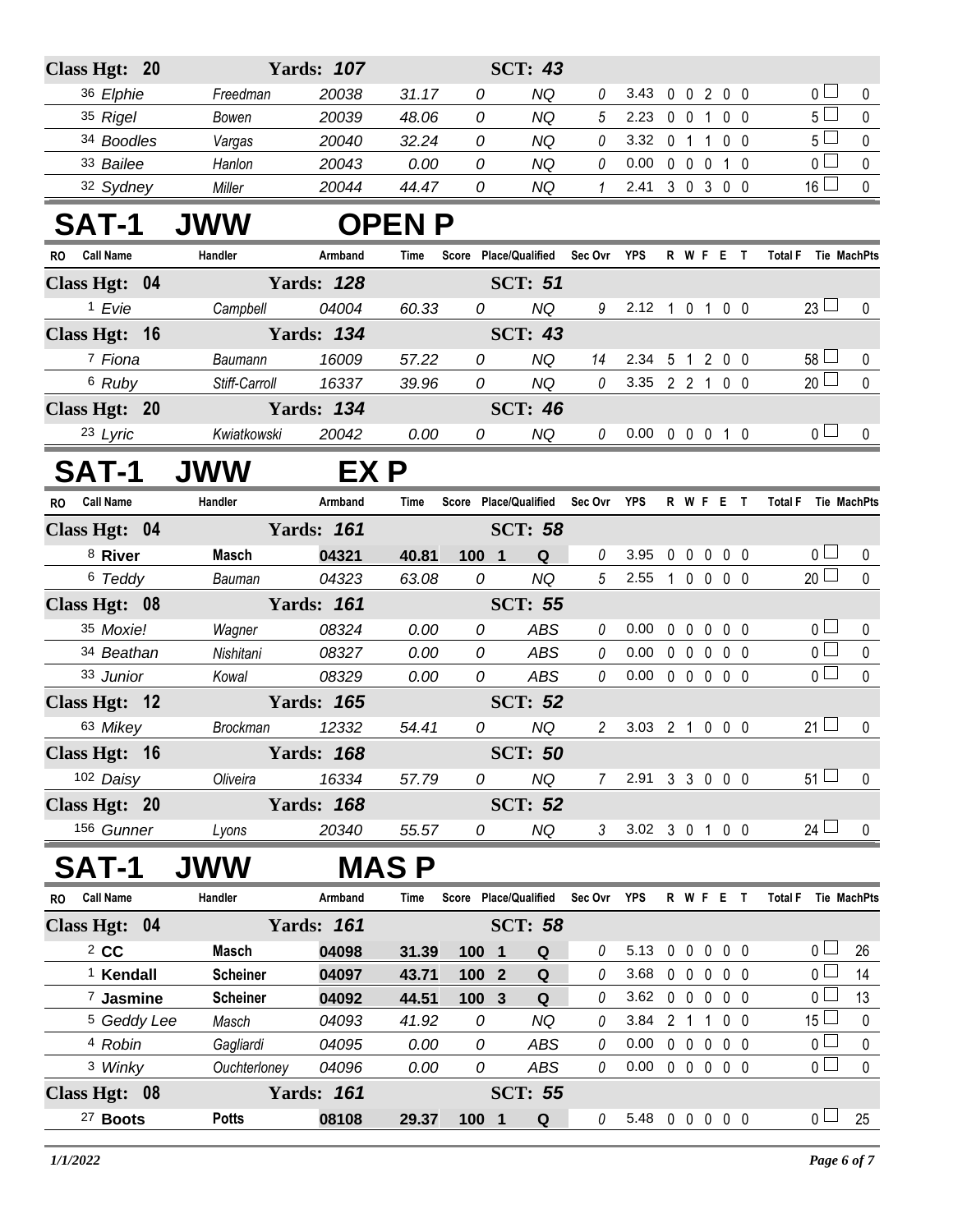| Class Hgt: 20           |                 | <b>Yards: 107</b> |               |                       | <b>SCT: 43</b> |                |                            |                |                            |                               |                |                               |              |
|-------------------------|-----------------|-------------------|---------------|-----------------------|----------------|----------------|----------------------------|----------------|----------------------------|-------------------------------|----------------|-------------------------------|--------------|
| 36 Elphie               | Freedman        | 20038             | 31.17         | 0                     | <b>NQ</b>      | 0              | 3.43                       |                |                            | 0 0 2 0 0                     |                | 0 <sup>1</sup>                | 0            |
| 35 Rigel                | Bowen           | 20039             | 48.06         | 0                     | <b>NQ</b>      | 5              | 2.23                       | $0\quad 0$     | $\overline{1}$             |                               | 0 <sub>0</sub> | 5 <sub>1</sub>                | $\mathbf{0}$ |
| 34 Boodles              | Vargas          | 20040             | 32.24         | 0                     | <b>NQ</b>      | $\theta$       | 3.32                       |                | 0 1 1                      | 0 <sub>0</sub>                |                | 5 <sub>1</sub>                | $\mathbf 0$  |
| 33 Bailee               | Hanlon          | 20043             | 0.00          | 0                     | <b>NQ</b>      | 0              | 0.00                       |                | $0\quad 0\quad 0$          | 1 0                           |                | 0 <sub>1</sub>                | 0            |
| 32 Sydney               | Miller          | 20044             | 44.47         | 0                     | <b>NQ</b>      | 1              | 2.41                       |                |                            | 3 0 3 0 0                     |                | $16 \Box$                     | 0            |
| <b>SAT-1</b>            | <b>JWW</b>      |                   | <b>OPEN P</b> |                       |                |                |                            |                |                            |                               |                |                               |              |
| <b>Call Name</b><br>RO. | Handler         | Armband           | Time          | Score Place/Qualified |                | Sec Ovr YPS    |                            |                |                            | R W F E T                     |                | <b>Total F</b><br>Tie MachPts |              |
| Class Hgt: 04           |                 | <b>Yards: 128</b> |               |                       | <b>SCT: 51</b> |                |                            |                |                            |                               |                |                               |              |
| <sup>1</sup> Evie       | Campbell        | 04004             | 60.33         | 0                     | <b>NQ</b>      | 9              | 2.12 1 0 1 0 0             |                |                            |                               |                | $23 \Box$                     | 0            |
| Class Hgt: 16           |                 | <b>Yards: 134</b> |               |                       | <b>SCT: 43</b> |                |                            |                |                            |                               |                |                               |              |
| 7 Fiona                 | Baumann         | 16009             | 57.22         | 0                     | <b>NQ</b>      | 14             | 2.34                       |                |                            | 5 1 2 0 0                     |                | $58 \Box$                     | 0            |
| 6 Ruby                  | Stiff-Carroll   | 16337             | 39.96         | 0                     | <b>NQ</b>      | $\mathcal O$   | 3.35 2 2 1 0 0             |                |                            |                               |                | $20 \Box$                     | $\mathbf 0$  |
| Class Hgt: 20           |                 | <b>Yards: 134</b> |               |                       | <b>SCT: 46</b> |                |                            |                |                            |                               |                |                               |              |
| 23 Lyric                | Kwiatkowski     | 20042             | 0.00          | 0                     | <b>NQ</b>      | 0              | $0.00 \t0 \t0 \t0 \t1 \t0$ |                |                            |                               |                | 0 <sub>1</sub>                | $\mathbf{0}$ |
| SAT-1                   | <b>JWW</b>      | EX P              |               |                       |                |                |                            |                |                            |                               |                |                               |              |
| RO Call Name            | Handler         | Armband           | Time          | Score Place/Qualified |                | Sec Ovr YPS    |                            |                |                            | <b>RWFET</b>                  |                | Total F Tie MachPts           |              |
| Class Hgt: 04           |                 | <b>Yards: 161</b> |               |                       | <b>SCT: 58</b> |                |                            |                |                            |                               |                |                               |              |
| <sup>8</sup> River      | <b>Masch</b>    | 04321             | 40.81         | 1001                  | Q              | 0              | 3.95                       | 0              | $\mathbf 0$<br>$\mathbf 0$ |                               | 0 <sub>0</sub> | 0 <sub>1</sub>                | 0            |
| 6 Teddy                 | Bauman          | 04323             | 63.08         | 0                     | <b>NQ</b>      | $5\,$          | 2.55                       |                |                            | 10000                         |                | $20$ $\Box$                   | $\mathbf{0}$ |
| Class Hgt: 08           |                 | <b>Yards: 161</b> |               |                       | <b>SCT: 55</b> |                |                            |                |                            |                               |                |                               |              |
| 35 Moxie!               | Wagner          | 08324             | 0.00          | 0                     | <b>ABS</b>     | 0              | 0.00                       | $\mathbf 0$    | $\mathbf 0$<br>$\mathbf 0$ |                               | 0 <sub>0</sub> | 0 <sub>0</sub>                | 0            |
| 34 Beathan              | Nishitani       | 08327             | 0.00          | 0                     | <b>ABS</b>     | 0              | 0.00                       |                | $0\quad 0\quad 0$          |                               | $0\quad 0$     | 0 <sub>0</sub>                | $\pmb{0}$    |
| 33 Junior               | Kowal           | 08329             | 0.00          | 0                     | <b>ABS</b>     | 0              | 0.00                       |                |                            | 00000                         |                | $\overline{0}$                | $\mathbf 0$  |
| Class Hgt: 12           |                 | <b>Yards: 165</b> |               |                       | <b>SCT: 52</b> |                |                            |                |                            |                               |                |                               |              |
| 63 Mikey                | <b>Brockman</b> | 12332             | 54.41         | 0                     | <b>NQ</b>      | $\overline{2}$ | 3.03 2 1 0 0 0             |                |                            |                               |                | $21 \Box$                     | 0            |
| Class Hgt: 16           |                 | <b>Yards: 168</b> |               |                       | <b>SCT: 50</b> |                |                            |                |                            |                               |                |                               |              |
| 102 Daisy               | Oliveira        | 16334             | 57.79         | 0                     | <b>NQ</b>      | 7              | 2.91 3 3 0 0 0             |                |                            |                               |                | $51 \Box$                     | 0            |
| Class Hgt: 20           |                 | <b>Yards: 168</b> |               |                       | <b>SCT: 52</b> |                |                            |                |                            |                               |                |                               |              |
| 156 Gunner              | Lyons           | 20340             | 55.57         | 0                     | NQ             | $\mathfrak{Z}$ | 3.02 3 0 1 0 0             |                |                            |                               |                | $24 \Box$                     | $\mathbf 0$  |
| <b>SAT-1</b>            | <b>JWW</b>      |                   | <b>MAS P</b>  |                       |                |                |                            |                |                            |                               |                |                               |              |
| RO Call Name            | Handler         | Armband           | Time          | Score Place/Qualified |                | Sec Ovr YPS    |                            |                |                            | R W F E T                     |                | Total F Tie MachPts           |              |
| Class Hgt: 04           |                 | <b>Yards: 161</b> |               |                       | <b>SCT: 58</b> |                |                            |                |                            |                               |                |                               |              |
| $2$ CC                  | Masch           | 04098             | 31.39         | 100 1                 | Q              | 0              | 5.13                       | $\mathbf 0$    | 0                          | $\mathbf 0$<br>0 <sub>0</sub> |                | $0-$                          | 26           |
| <sup>1</sup> Kendall    | <b>Scheiner</b> | 04097             | 43.71         | 100 2                 | Q              | 0              | 3.68                       | $0\quad 0$     | $\mathbf 0$                | $0\quad 0$                    |                | $\overline{0}$                | 14           |
| 7 Jasmine               | <b>Scheiner</b> | 04092             | 44.51         | 100 3                 | $\mathbf Q$    | 0              | 3.62                       |                | $0\quad 0\quad 0$          |                               | $0\quad 0$     | 0                             | 13           |
| <sup>5</sup> Geddy Lee  | Masch           | 04093             | 41.92         | 0                     | <b>NQ</b>      | 0              | 3.84                       | 2 <sub>1</sub> | $\overline{1}$             | 0 <sub>0</sub>                |                | $15\perp$                     | 0            |
| 4 Robin                 | Gagliardi       | 04095             | 0.00          | 0                     | ABS            | 0              | 0.00                       | $0\quad 0$     | $\mathbf 0$                |                               | 0 <sub>0</sub> | 0 <sub>0</sub>                | 0            |
| 3 Winky                 | Ouchterloney    | 04096             | 0.00          | 0                     | <b>ABS</b>     | 0              | 0.00                       |                |                            | 0 0 0 0 0                     |                | $\overline{0}$                | $\pmb{0}$    |
| Class Hgt: 08           |                 | <b>Yards: 161</b> |               |                       | <b>SCT: 55</b> |                |                            |                |                            |                               |                |                               |              |
| <sup>27</sup> Boots     | <b>Potts</b>    | 08108             | 29.37         | 100 1                 | Q              | 0              | 5.48 0 0 0 0 0             |                |                            |                               |                | 0 <sub>1</sub>                | 25           |